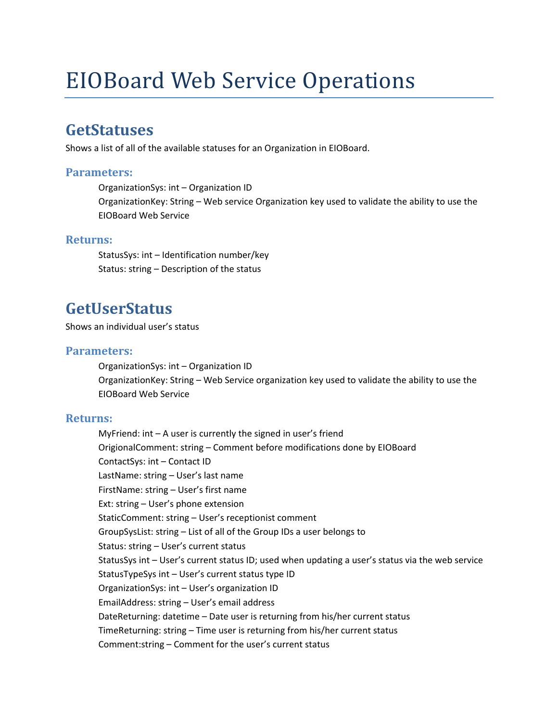# EIOBoard Web Service Operations

### **GetStatuses**

Shows a list of all of the available statuses for an Organization in EIOBoard.

### **Parameters:**

OrganizationSys: int – Organization ID OrganizationKey: String – Web service Organization key used to validate the ability to use the EIOBoard Web Service

### **Returns:**

StatusSys: int – Identification number/key Status: string – Description of the status

## **GetUserStatus**

Shows an individual user's status

### **Parameters:**

OrganizationSys: int – Organization ID OrganizationKey: String – Web Service organization key used to validate the ability to use the EIOBoard Web Service

### **Returns:**

MyFriend:  $int - A$  user is currently the signed in user's friend OrigionalComment: string – Comment before modifications done by EIOBoard ContactSys: int – Contact ID LastName: string – User's last name FirstName: string – User's first name Ext: string – User's phone extension StaticComment: string – User's receptionist comment GroupSysList: string – List of all of the Group IDs a user belongs to Status: string – User's current status StatusSys int – User's current status ID; used when updating a user's status via the web service StatusTypeSys int – User's current status type ID OrganizationSys: int – User's organization ID EmailAddress: string – User's email address DateReturning: datetime – Date user is returning from his/her current status TimeReturning: string – Time user is returning from his/her current status Comment:string – Comment for the user's current status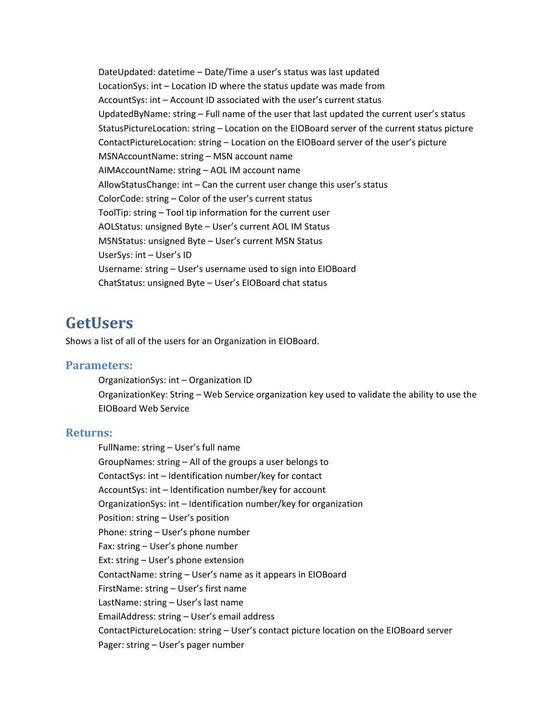DateUpdated: datetime – Date/Time a user's status was last updated LocationSys: int – Location ID where the status update was made from AccountSys: int – Account ID associated with the user's current status UpdatedByName: string – Full name of the user that last updated the current user's status StatusPictureLocation: string – Location on the EIOBoard server of the current status picture ContactPictureLocation: string – Location on the EIOBoard server of the user's picture MSNAccountName: string – MSN account name AIMAccountName: string – AOL IM account name AllowStatusChange: int – Can the current user change this user's status ColorCode: string – Color of the user's current status ToolTip: string – Tool tip information for the current user AOLStatus: unsigned Byte – User's current AOL IM Status MSNStatus: unsigned Byte – User's current MSN Status UserSys: int – User's ID Username: string – User's username used to sign into EIOBoard ChatStatus: unsigned Byte – User's EIOBoard chat status

### **GetUsers**

Shows a list of all of the users for an Organization in EIOBoard.

### **Parameters:**

OrganizationSys: int – Organization ID OrganizationKey: String – Web Service organization key used to validate the ability to use the EIOBoard Web Service

#### **Returns:**

FullName: string – User's full name GroupNames: string – All of the groups a user belongs to ContactSys: int – Identification number/key for contact AccountSys: int – Identification number/key for account OrganizationSys: int – Identification number/key for organization Position: string – User's position Phone: string – User's phone number Fax: string – User's phone number Ext: string – User's phone extension ContactName: string – User's name as it appears in EIOBoard FirstName: string – User's first name LastName: string – User's last name EmailAddress: string – User's email address ContactPictureLocation: string – User's contact picture location on the EIOBoard server Pager: string – User's pager number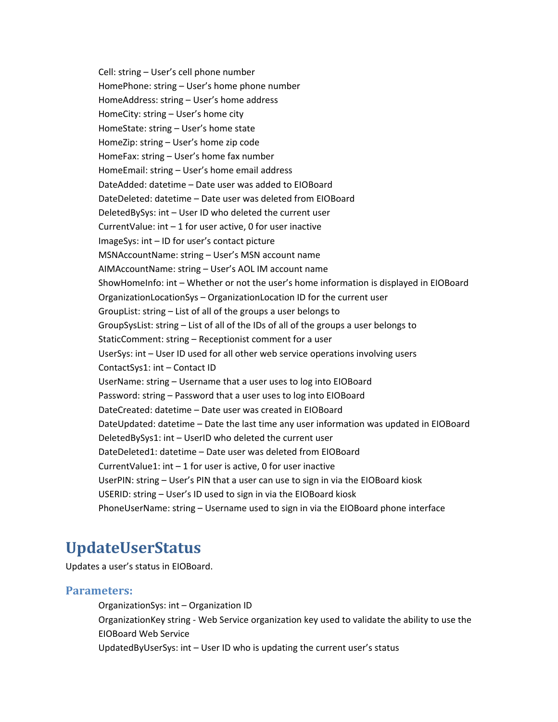Cell: string – User's cell phone number HomePhone: string – User's home phone number HomeAddress: string – User's home address HomeCity: string – User's home city HomeState: string – User's home state HomeZip: string – User's home zip code HomeFax: string – User's home fax number HomeEmail: string – User's home email address DateAdded: datetime – Date user was added to EIOBoard DateDeleted: datetime – Date user was deleted from EIOBoard DeletedBySys: int – User ID who deleted the current user CurrentValue:  $int - 1$  for user active, 0 for user inactive ImageSys: int – ID for user's contact picture MSNAccountName: string – User's MSN account name AIMAccountName: string – User's AOL IM account name ShowHomeInfo: int – Whether or not the user's home information is displayed in EIOBoard OrganizationLocationSys – OrganizationLocation ID for the current user GroupList: string – List of all of the groups a user belongs to GroupSysList: string – List of all of the IDs of all of the groups a user belongs to StaticComment: string – Receptionist comment for a user UserSys: int – User ID used for all other web service operations involving users ContactSys1: int – Contact ID UserName: string – Username that a user uses to log into EIOBoard Password: string – Password that a user uses to log into EIOBoard DateCreated: datetime – Date user was created in EIOBoard DateUpdated: datetime – Date the last time any user information was updated in EIOBoard DeletedBySys1: int – UserID who deleted the current user DateDeleted1: datetime – Date user was deleted from EIOBoard CurrentValue1: int – 1 for user is active, 0 for user inactive UserPIN: string – User's PIN that a user can use to sign in via the EIOBoard kiosk USERID: string – User's ID used to sign in via the EIOBoard kiosk PhoneUserName: string – Username used to sign in via the EIOBoard phone interface

# **UpdateUserStatus**

Updates a user's status in EIOBoard.

#### **Parameters:**

OrganizationSys: int – Organization ID OrganizationKey string ‐ Web Service organization key used to validate the ability to use the EIOBoard Web Service UpdatedByUserSys: int – User ID who is updating the current user's status